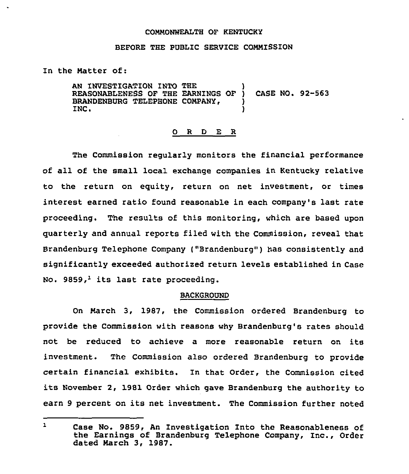#### CONNONWEALTH OF KENTUCKY

## BEFORE THE PUBLIC SERVICE CONNISSION

## In the Natter of:

AN INVESTIGATION INTO THE REASONABLENESS OF THE EARNINGS OF 1 CASE NO. 92-563 BRANDENBURG TELEPHONE COMPANY, INC.

### 0 R <sup>D</sup> E R

The Commission regularly monitors the financial performance of all of the small local exchange companies in Kentucky relative to the return on equity, return on net investment, or times interest earned ratio found reasonable in each company's last rate proceeding. The results of this monitoring, which are based upon quarterly and annual reports filed with the Commission, reveal that Brandenburg Telephone Company ("Brandenburg") has consistently and significantly exceeded authorized return levels established in Case No. 9859, $<sup>1</sup>$  its last rate proceeding.</sup>

#### BACKGROUND

On Narch 3, 1987, the Commission ordered Brandenburg to provide the Commission with reasons why Bzandenburg's rates should not be reduced to achieve a more reasonable return on its investment. The Commission also ordered Brandenburg to provide certain financial exhibits. In that Order, the Commission cited its November 2, 1981 Order which gave Brandenburg the authority to earn <sup>9</sup> percent on its net investment. The Commission further noted

 $\mathbf{1}$ Case No. 9859, An Investigation Into the Reasonableness of the Earnings of Brandenburg Telephone Company, Inc., Order dated March 3, 1987.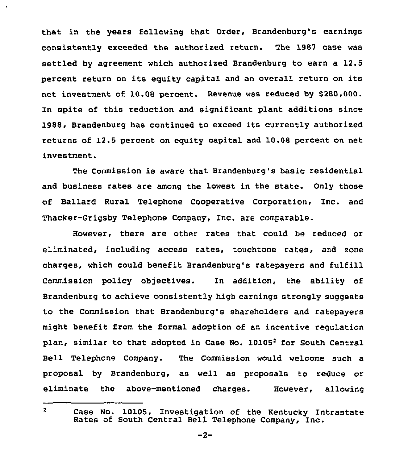that in the years following that Order, Brandenburg's earnings consistently exceeded the authorized return. The 1987 case was settled by agreement which authorized Brandenburg to earn a 12.5 percent return on its equity capital and an overall return on its net investment of 10.08 percent. Revenue was reduced by \$280,000. In spite of this reduction and Significant plant additions since 1988, Brandenburg has continued to exceed its currently authorized returns of 12.5 percent on equity capital and 10.08 percent on net investment.

The Commission is aware that Brandenburg's basic residential and business rates are among the lowest in the state. Only those of Ballard Rural Telephone Cooperative Corporation, Inc, and Thacker-Grigsby Telephone Company, Inc, are comparable.

However, there are other rates that could be reduced or eliminated, including access rates, touchtone rates, and zone charges, which could benefit Brandenburg's ratepayers and fulfill Commission policy objectives. In addition, the ability of Brandenburg to achieve consistently high earnings strongly suggests to the Commission that Brandenburg's shareholders and ratepayers might benefit from the formal adoption of an incentive regulation plan, similar to that adopted in Case No.  $10105<sup>2</sup>$  for South Central Bell Telephone Company. The Commission would welcome such a proposal by Brandenburg, as well as proposals to reduce or eliminate the above-mentioned charges. However, allowing

 $2<sup>1</sup>$ 

 $\ddot{\phantom{a}}$ 

Case No. 10105, Investigation of the Kentucky Intrastate Rates of South Central Bell Telephone Company, Inc.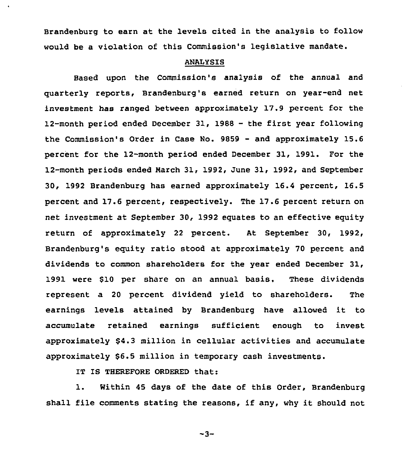Brandenburg to earn at the levels cited in the analysis to follow would be a violation of this Commission's legislative mandate.

# ANALYSIS

Based upon the Commission's analysis of the annual and quarterly reports, Brandenburg's earned return on year-end net investment has ranged between approximately 17.9 percent for the 12-month period ended December 31, 1988 - the first year following the Commission's Order in Case No. 9859 — and approximately 15.6 percent for the 12-month period ended December 31, 1991. For the 12-month periods ended March 31, 1992, June 31, 1992, and September 30, 1992 Brandenburg has earned approximately 16.4 percent, 16.5 percent and 17.6 percent, respectively. The 17 .6 percent return on net investment at September 30, 1992 equates to an effective equity return of approximately 22 percent. At September 30, 1992, Brandenburg's equity ratio stood at approximately 70 percent and dividends to common shareholders for the year ended December 31, 1991 were \$10 per share on an annual basis. These dividends represent a 20 percent dividend yield to shareholders. The earnings levels attained by Brandenburg have allowed it to accumulate retained earnings sufficient enough to invest approximately \$4.3 million in cellular activities and accumulate approximately \$6.5 million in temporary cash investments.

IT IS THEREFORE ORDERED that:

1. Within <sup>45</sup> days of the date of this Order, Brandenburg shall file comments stating the reasons, if any, why it should not

 $-3-$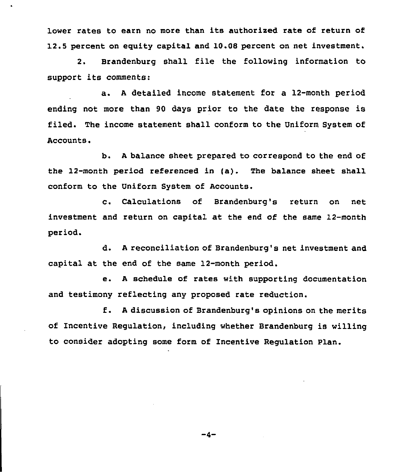lower rates to earn no more than its authorised rate of return of 12.5 percent on eguity capital and 10.0S percent on net investment.

2. Brandenburg shall file the following information to support its comments:

a. <sup>A</sup> detailed income statement for a 12-month period ending not more than 90 days prior to the date the response is filed. The income statement shall conform to the Uniform System of Accounts.

b. <sup>A</sup> balance sheet prepared to correspond to the end of the 12-month period referenced in (a}. The balance sheet shall conform to the Uniform System of Accounts.

c. Calculations of Brandenburg's return on net investment and return on capital at the end of the same 12-month period.

d. <sup>A</sup> reconciliation of Brandenburg's net investment and capital at the end of the same 12-month period.

e. <sup>A</sup> schedule of rates with supporting documentation and testimony reflecting any proposed rate reduction.

f. <sup>A</sup> discussion of Brandenburg's opinions on the merits of Incentive Regulation, including whether Brandenburg is willing to consider adopting some form of Incentive Regulation Plan.

 $-4-$